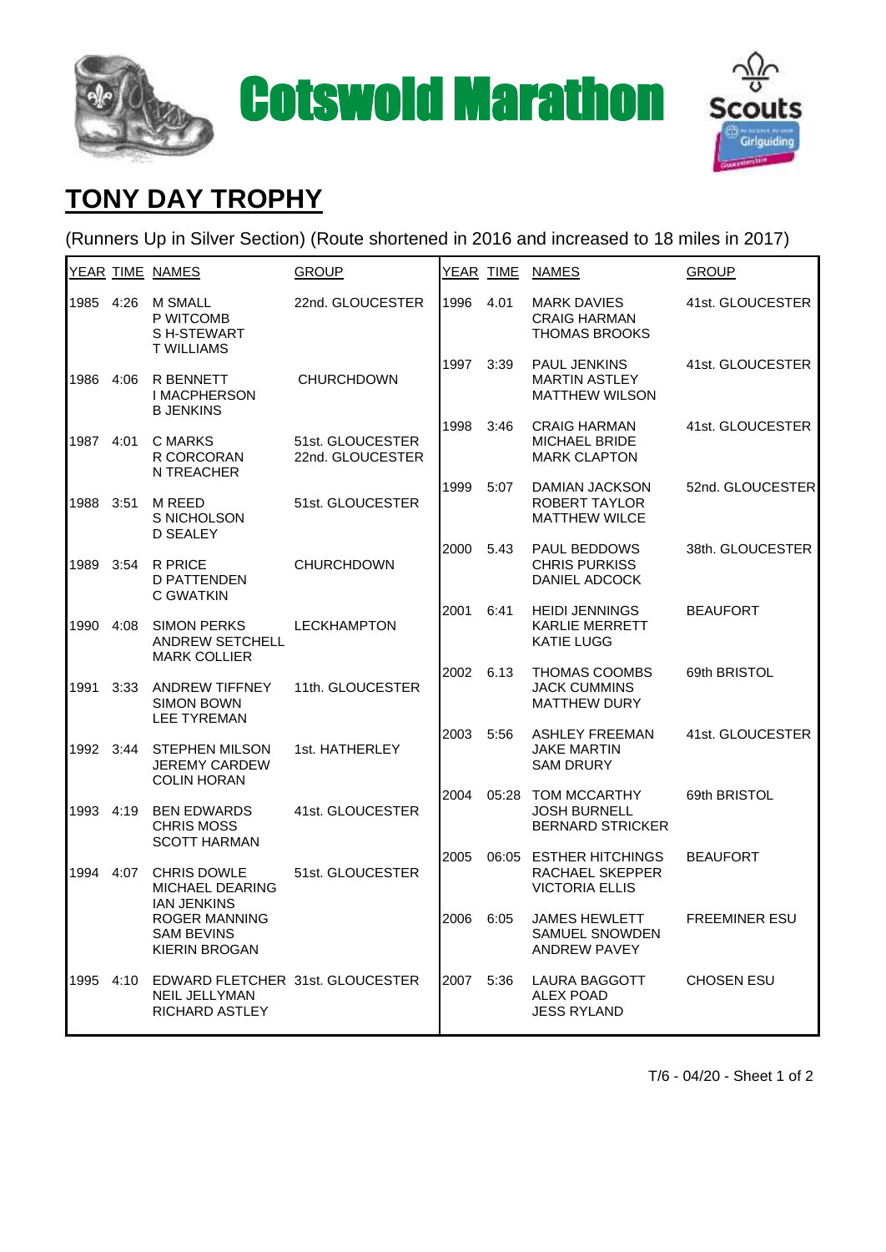



## **TONY DAY TROPHY**

(Runners Up in Silver Section) (Route shortened in 2016 and increased to 18 miles in 2017)

|           |      | YEAR TIME NAMES                                                                                                                         | <b>GROUP</b>                         |      | YEAR TIME | <b>NAMES</b>                                                         | <b>GROUP</b>         |
|-----------|------|-----------------------------------------------------------------------------------------------------------------------------------------|--------------------------------------|------|-----------|----------------------------------------------------------------------|----------------------|
| 1985      | 4:26 | <b>M SMALL</b><br>P WITCOMB<br>SH-STEWART<br><b>T WILLIAMS</b>                                                                          | 22nd. GLOUCESTER                     | 1996 | 4.01      | <b>MARK DAVIES</b><br><b>CRAIG HARMAN</b><br><b>THOMAS BROOKS</b>    | 41st. GLOUCESTER     |
| 1986      | 4:06 | <b>R BENNETT</b><br><b>I MACPHERSON</b><br><b>B JENKINS</b>                                                                             | <b>CHURCHDOWN</b>                    | 1997 | 3:39      | PAUL JENKINS<br><b>MARTIN ASTLEY</b><br><b>MATTHEW WILSON</b>        | 41st. GLOUCESTER     |
| 1987      | 4:01 | C MARKS<br>R CORCORAN<br>N TREACHER                                                                                                     | 51st. GLOUCESTER<br>22nd. GLOUCESTER | 1998 | 3:46      | <b>CRAIG HARMAN</b><br><b>MICHAEL BRIDE</b><br><b>MARK CLAPTON</b>   | 41st. GLOUCESTER     |
| 1988      | 3:51 | M REED<br>S NICHOLSON<br><b>D SEALEY</b>                                                                                                | 51st. GLOUCESTER                     | 1999 | 5:07      | <b>DAMIAN JACKSON</b><br>ROBERT TAYLOR<br><b>MATTHEW WILCE</b>       | 52nd. GLOUCESTER     |
| 1989      | 3:54 | <b>R PRICE</b><br><b>D PATTENDEN</b><br>C GWATKIN                                                                                       | <b>CHURCHDOWN</b>                    | 2000 | 5.43      | <b>PAUL BEDDOWS</b><br><b>CHRIS PURKISS</b><br>DANIEL ADCOCK         | 38th. GLOUCESTER     |
| 1990      | 4:08 | <b>SIMON PERKS</b><br><b>ANDREW SETCHELL</b><br><b>MARK COLLIER</b>                                                                     | <b>LECKHAMPTON</b>                   | 2001 | 6:41      | <b>HEIDI JENNINGS</b><br><b>KARLIE MERRETT</b><br><b>KATIE LUGG</b>  | <b>BEAUFORT</b>      |
| 1991      | 3:33 | <b>ANDREW TIFFNEY</b><br><b>SIMON BOWN</b><br><b>LEE TYREMAN</b>                                                                        | 11th. GLOUCESTER                     | 2002 | 6.13      | <b>THOMAS COOMBS</b><br><b>JACK CUMMINS</b><br><b>MATTHEW DURY</b>   | 69th BRISTOL         |
| 1992 3:44 |      | <b>STEPHEN MILSON</b><br><b>JEREMY CARDEW</b><br><b>COLIN HORAN</b>                                                                     | 1st. HATHERLEY                       | 2003 | 5:56      | <b>ASHLEY FREEMAN</b><br><b>JAKE MARTIN</b><br><b>SAM DRURY</b>      | 41st. GLOUCESTER     |
| 1993      | 4:19 | <b>BEN EDWARDS</b><br><b>CHRIS MOSS</b><br><b>SCOTT HARMAN</b>                                                                          | 41st. GLOUCESTER                     | 2004 |           | 05:28 TOM MCCARTHY<br><b>JOSH BURNELL</b><br><b>BERNARD STRICKER</b> | 69th BRISTOL         |
| 1994      | 4:07 | <b>CHRIS DOWLE</b><br><b>MICHAEL DEARING</b><br><b>IAN JENKINS</b><br><b>ROGER MANNING</b><br><b>SAM BEVINS</b><br><b>KIERIN BROGAN</b> | 51st. GLOUCESTER                     | 2005 |           | 06:05 ESTHER HITCHINGS<br>RACHAEL SKEPPER<br><b>VICTORIA ELLIS</b>   | <b>BEAUFORT</b>      |
|           |      |                                                                                                                                         |                                      | 2006 | 6:05      | <b>JAMES HEWLETT</b><br><b>SAMUEL SNOWDEN</b><br><b>ANDREW PAVEY</b> | <b>FREEMINER ESU</b> |
| 1995      | 4:10 | EDWARD FLETCHER 31st. GLOUCESTER<br><b>NEIL JELLYMAN</b><br>RICHARD ASTLEY                                                              |                                      | 2007 | 5:36      | <b>LAURA BAGGOTT</b><br><b>ALEX POAD</b><br><b>JESS RYLAND</b>       | <b>CHOSEN ESU</b>    |

T/6 - 04/20 - Sheet 1 of 2